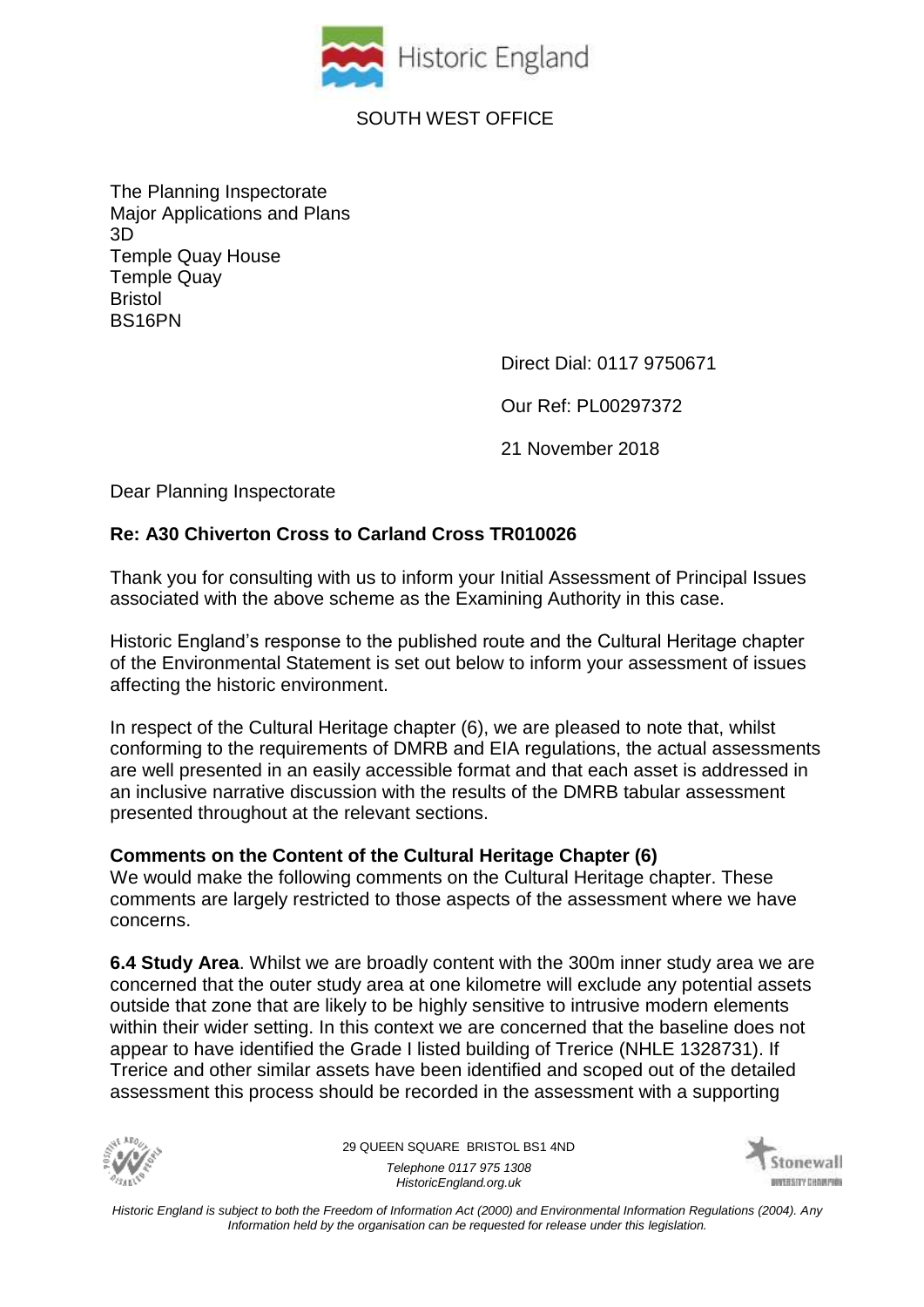

# SOUTH WEST OFFICE

The Planning Inspectorate Major Applications and Plans 3D Temple Quay House Temple Quay Bristol BS16PN

Direct Dial: 0117 9750671

Our Ref: PL00297372

21 November 2018

Dear Planning Inspectorate

## **Re: A30 Chiverton Cross to Carland Cross TR010026**

Thank you for consulting with us to inform your Initial Assessment of Principal Issues associated with the above scheme as the Examining Authority in this case.

Historic England's response to the published route and the Cultural Heritage chapter of the Environmental Statement is set out below to inform your assessment of issues affecting the historic environment.

In respect of the Cultural Heritage chapter (6), we are pleased to note that, whilst conforming to the requirements of DMRB and EIA regulations, the actual assessments are well presented in an easily accessible format and that each asset is addressed in an inclusive narrative discussion with the results of the DMRB tabular assessment presented throughout at the relevant sections.

#### **Comments on the Content of the Cultural Heritage Chapter (6)**

We would make the following comments on the Cultural Heritage chapter. These comments are largely restricted to those aspects of the assessment where we have concerns.

**6.4 Study Area**. Whilst we are broadly content with the 300m inner study area we are concerned that the outer study area at one kilometre will exclude any potential assets outside that zone that are likely to be highly sensitive to intrusive modern elements within their wider setting. In this context we are concerned that the baseline does not appear to have identified the Grade I listed building of Trerice (NHLE 1328731). If Trerice and other similar assets have been identified and scoped out of the detailed assessment this process should be recorded in the assessment with a supporting



29 QUEEN SQUARE BRISTOL BS1 4ND *Telephone 0117 975 1308 HistoricEngland.org.uk*

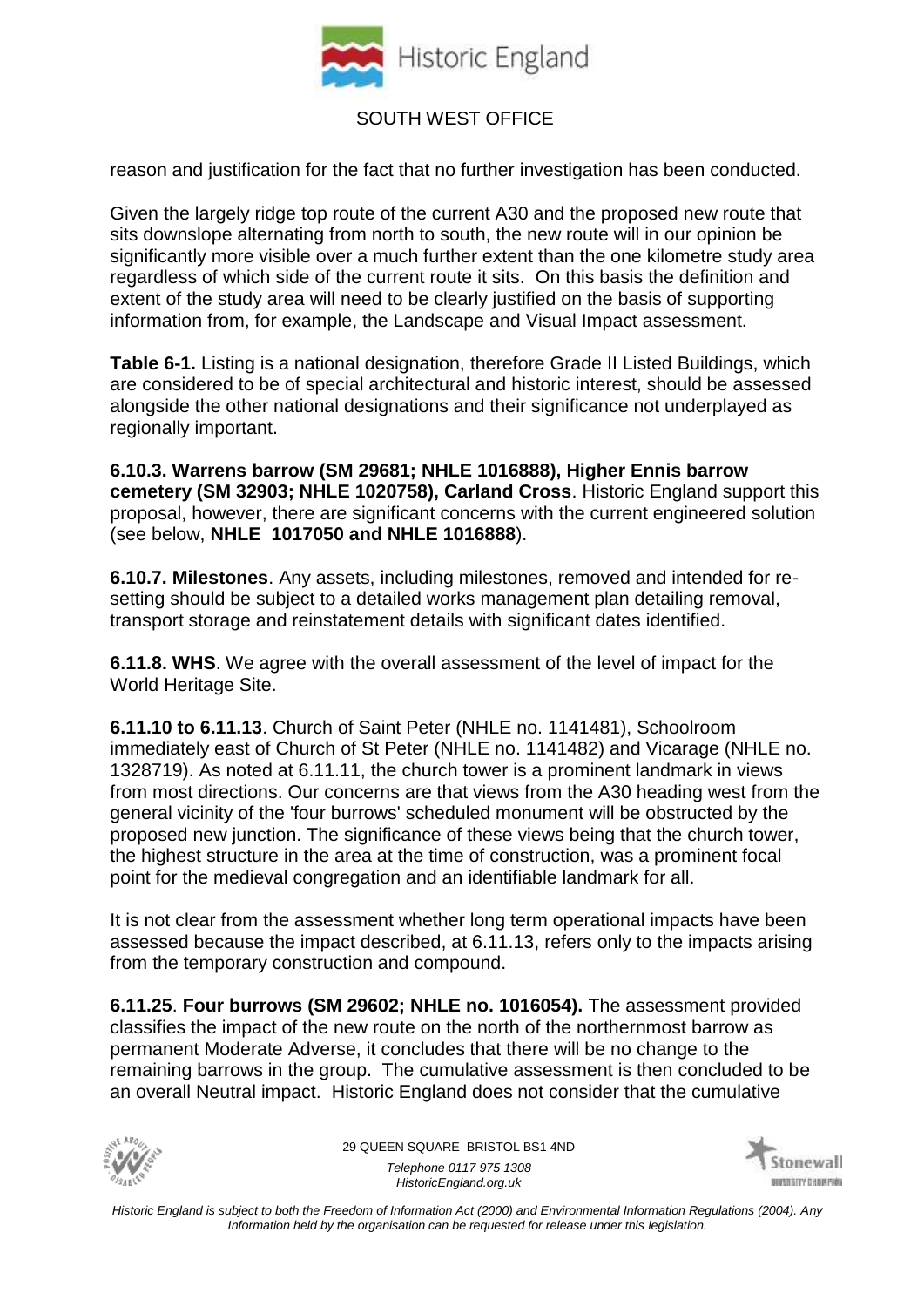

## SOUTH WEST OFFICE

reason and justification for the fact that no further investigation has been conducted.

Given the largely ridge top route of the current A30 and the proposed new route that sits downslope alternating from north to south, the new route will in our opinion be significantly more visible over a much further extent than the one kilometre study area regardless of which side of the current route it sits. On this basis the definition and extent of the study area will need to be clearly justified on the basis of supporting information from, for example, the Landscape and Visual Impact assessment.

**Table 6-1.** Listing is a national designation, therefore Grade II Listed Buildings, which are considered to be of special architectural and historic interest, should be assessed alongside the other national designations and their significance not underplayed as regionally important.

**6.10.3. Warrens barrow (SM 29681; NHLE 1016888), Higher Ennis barrow cemetery (SM 32903; NHLE 1020758), Carland Cross**. Historic England support this proposal, however, there are significant concerns with the current engineered solution (see below, **NHLE 1017050 and NHLE 1016888**).

**6.10.7. Milestones**. Any assets, including milestones, removed and intended for resetting should be subject to a detailed works management plan detailing removal, transport storage and reinstatement details with significant dates identified.

**6.11.8. WHS**. We agree with the overall assessment of the level of impact for the World Heritage Site.

**6.11.10 to 6.11.13**. Church of Saint Peter (NHLE no. 1141481), Schoolroom immediately east of Church of St Peter (NHLE no. 1141482) and Vicarage (NHLE no. 1328719). As noted at 6.11.11, the church tower is a prominent landmark in views from most directions. Our concerns are that views from the A30 heading west from the general vicinity of the 'four burrows' scheduled monument will be obstructed by the proposed new junction. The significance of these views being that the church tower, the highest structure in the area at the time of construction, was a prominent focal point for the medieval congregation and an identifiable landmark for all.

It is not clear from the assessment whether long term operational impacts have been assessed because the impact described, at 6.11.13, refers only to the impacts arising from the temporary construction and compound.

**6.11.25**. **Four burrows (SM 29602; NHLE no. 1016054).** The assessment provided classifies the impact of the new route on the north of the northernmost barrow as permanent Moderate Adverse, it concludes that there will be no change to the remaining barrows in the group. The cumulative assessment is then concluded to be an overall Neutral impact. Historic England does not consider that the cumulative



29 QUEEN SQUARE BRISTOL BS1 4ND *Telephone 0117 975 1308 HistoricEngland.org.uk*

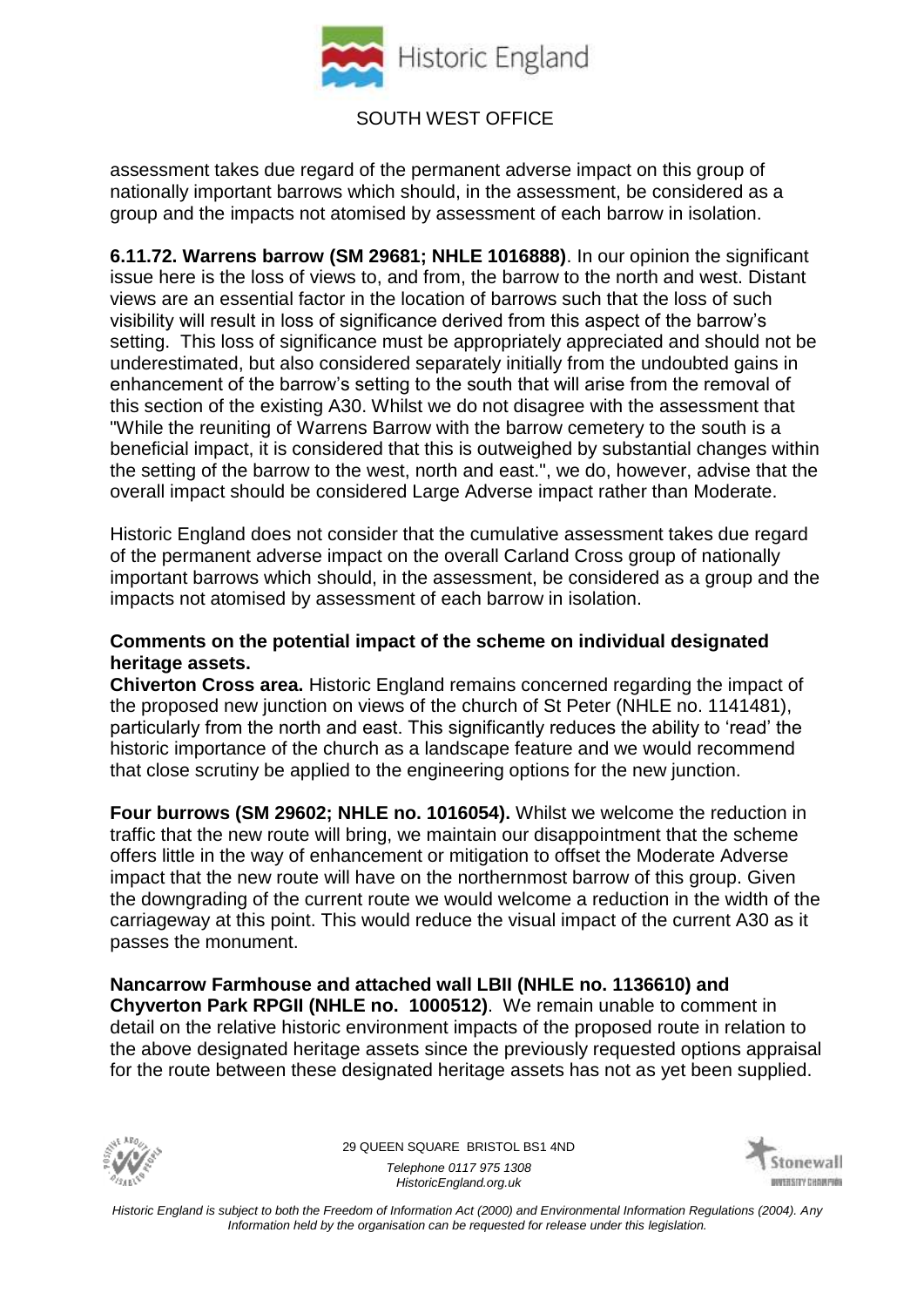

assessment takes due regard of the permanent adverse impact on this group of nationally important barrows which should, in the assessment, be considered as a group and the impacts not atomised by assessment of each barrow in isolation.

**6.11.72. Warrens barrow (SM 29681; NHLE 1016888)**. In our opinion the significant issue here is the loss of views to, and from, the barrow to the north and west. Distant views are an essential factor in the location of barrows such that the loss of such visibility will result in loss of significance derived from this aspect of the barrow's setting. This loss of significance must be appropriately appreciated and should not be underestimated, but also considered separately initially from the undoubted gains in enhancement of the barrow's setting to the south that will arise from the removal of this section of the existing A30. Whilst we do not disagree with the assessment that "While the reuniting of Warrens Barrow with the barrow cemetery to the south is a beneficial impact, it is considered that this is outweighed by substantial changes within the setting of the barrow to the west, north and east.", we do, however, advise that the overall impact should be considered Large Adverse impact rather than Moderate.

Historic England does not consider that the cumulative assessment takes due regard of the permanent adverse impact on the overall Carland Cross group of nationally important barrows which should, in the assessment, be considered as a group and the impacts not atomised by assessment of each barrow in isolation.

#### **Comments on the potential impact of the scheme on individual designated heritage assets.**

**Chiverton Cross area.** Historic England remains concerned regarding the impact of the proposed new junction on views of the church of St Peter (NHLE no. 1141481), particularly from the north and east. This significantly reduces the ability to 'read' the historic importance of the church as a landscape feature and we would recommend that close scrutiny be applied to the engineering options for the new junction.

**Four burrows (SM 29602; NHLE no. 1016054).** Whilst we welcome the reduction in traffic that the new route will bring, we maintain our disappointment that the scheme offers little in the way of enhancement or mitigation to offset the Moderate Adverse impact that the new route will have on the northernmost barrow of this group. Given the downgrading of the current route we would welcome a reduction in the width of the carriageway at this point. This would reduce the visual impact of the current A30 as it passes the monument.

**Nancarrow Farmhouse and attached wall LBII (NHLE no. 1136610) and Chyverton Park RPGII (NHLE no. 1000512)**. We remain unable to comment in detail on the relative historic environment impacts of the proposed route in relation to the above designated heritage assets since the previously requested options appraisal for the route between these designated heritage assets has not as yet been supplied.



29 QUEEN SQUARE BRISTOL BS1 4ND *Telephone 0117 975 1308 HistoricEngland.org.uk*

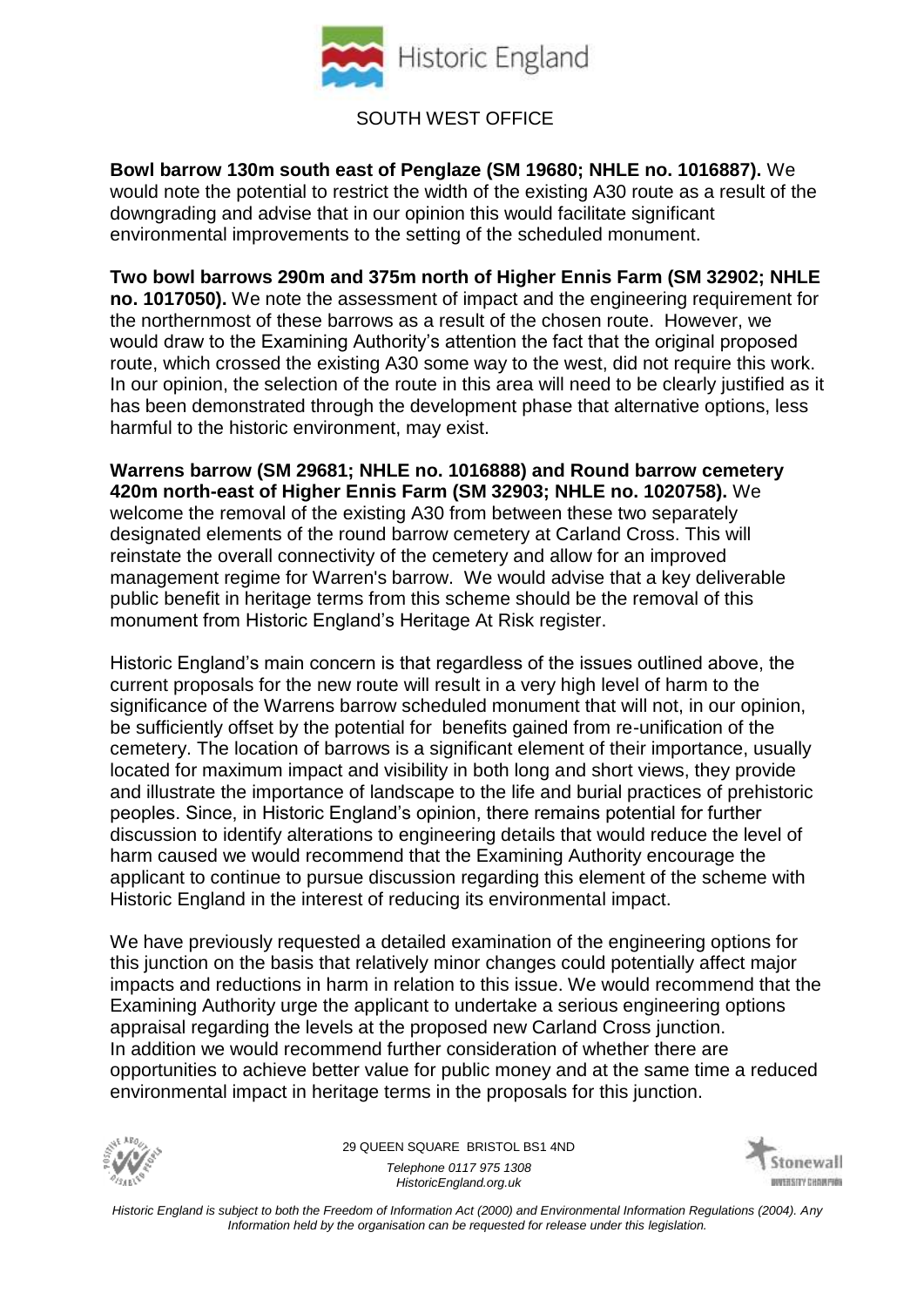

## SOUTH WEST OFFICE

**Bowl barrow 130m south east of Penglaze (SM 19680; NHLE no. 1016887).** We would note the potential to restrict the width of the existing A30 route as a result of the downgrading and advise that in our opinion this would facilitate significant environmental improvements to the setting of the scheduled monument.

**Two bowl barrows 290m and 375m north of Higher Ennis Farm (SM 32902; NHLE no. 1017050).** We note the assessment of impact and the engineering requirement for the northernmost of these barrows as a result of the chosen route. However, we would draw to the Examining Authority's attention the fact that the original proposed route, which crossed the existing A30 some way to the west, did not require this work. In our opinion, the selection of the route in this area will need to be clearly justified as it has been demonstrated through the development phase that alternative options, less harmful to the historic environment, may exist.

**Warrens barrow (SM 29681; NHLE no. 1016888) and Round barrow cemetery 420m north-east of Higher Ennis Farm (SM 32903; NHLE no. 1020758).** We welcome the removal of the existing A30 from between these two separately designated elements of the round barrow cemetery at Carland Cross. This will reinstate the overall connectivity of the cemetery and allow for an improved management regime for Warren's barrow. We would advise that a key deliverable public benefit in heritage terms from this scheme should be the removal of this monument from Historic England's Heritage At Risk register.

Historic England's main concern is that regardless of the issues outlined above, the current proposals for the new route will result in a very high level of harm to the significance of the Warrens barrow scheduled monument that will not, in our opinion, be sufficiently offset by the potential for benefits gained from re-unification of the cemetery. The location of barrows is a significant element of their importance, usually located for maximum impact and visibility in both long and short views, they provide and illustrate the importance of landscape to the life and burial practices of prehistoric peoples. Since, in Historic England's opinion, there remains potential for further discussion to identify alterations to engineering details that would reduce the level of harm caused we would recommend that the Examining Authority encourage the applicant to continue to pursue discussion regarding this element of the scheme with Historic England in the interest of reducing its environmental impact.

We have previously requested a detailed examination of the engineering options for this junction on the basis that relatively minor changes could potentially affect major impacts and reductions in harm in relation to this issue. We would recommend that the Examining Authority urge the applicant to undertake a serious engineering options appraisal regarding the levels at the proposed new Carland Cross junction. In addition we would recommend further consideration of whether there are opportunities to achieve better value for public money and at the same time a reduced environmental impact in heritage terms in the proposals for this junction.



29 QUEEN SQUARE BRISTOL BS1 4ND *Telephone 0117 975 1308 HistoricEngland.org.uk*